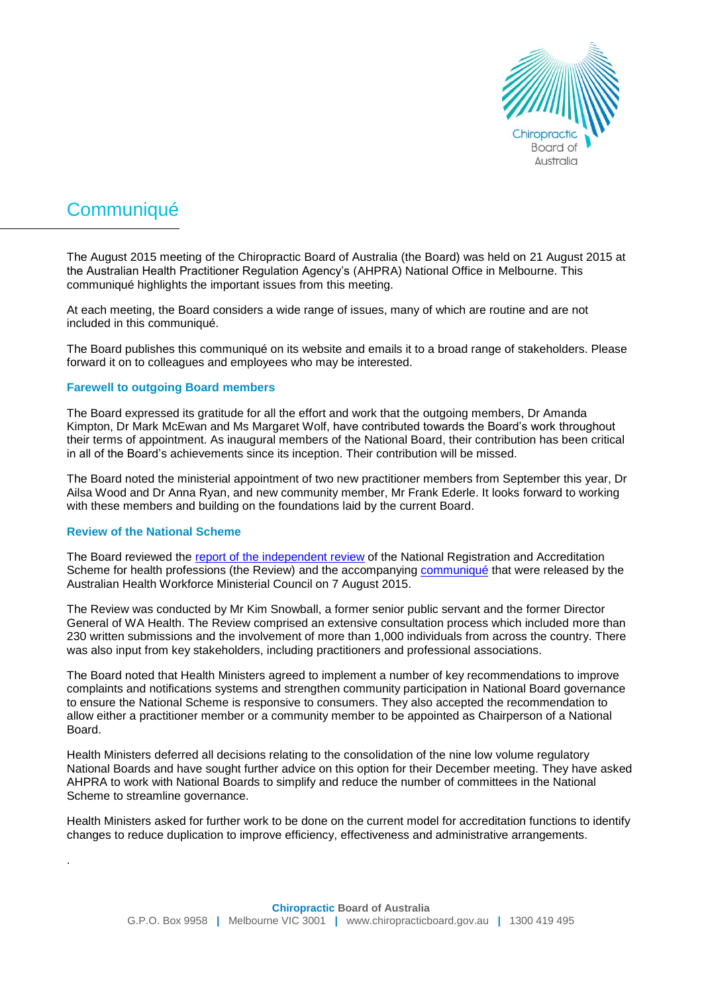

# **Communiqué**

The August 2015 meeting of the Chiropractic Board of Australia (the Board) was held on 21 August 2015 at the Australian Health Practitioner Regulation Agency's (AHPRA) National Office in Melbourne. This communiqué highlights the important issues from this meeting.

At each meeting, the Board considers a wide range of issues, many of which are routine and are not included in this communiqué.

The Board publishes this communiqué on its website and emails it to a broad range of stakeholders. Please forward it on to colleagues and employees who may be interested.

## **Farewell to outgoing Board members**

The Board expressed its gratitude for all the effort and work that the outgoing members, Dr Amanda Kimpton, Dr Mark McEwan and Ms Margaret Wolf, have contributed towards the Board's work throughout their terms of appointment. As inaugural members of the National Board, their contribution has been critical in all of the Board's achievements since its inception. Their contribution will be missed.

The Board noted the ministerial appointment of two new practitioner members from September this year, Dr Ailsa Wood and Dr Anna Ryan, and new community member, Mr Frank Ederle. It looks forward to working with these members and building on the foundations laid by the current Board.

#### **Review of the National Scheme**

.

The Board reviewed the report of [the independent review](http://www.coaghealthcouncil.gov.au/Publications/Reports/ArtMID/514/ArticleID/68/The-Independent-Review-of-the-National-Registration-and-Accreditation-Scheme-for-health-professionals) of the National Registration and Accreditation Scheme for health professions (the Review) and the accompanying [communiqué](http://www.coaghealthcouncil.gov.au/Announcements/ArtMID/527/ArticleID/71/Reissued-Communique-Final-Report-of-the-Independent-Review-on-the-National-Accreditation-Scheme-for-health-professionals) that were released by the Australian Health Workforce Ministerial Council on 7 August 2015.

The Review was conducted by Mr Kim Snowball, a former senior public servant and the former Director General of WA Health. The Review comprised an extensive consultation process which included more than 230 written submissions and the involvement of more than 1,000 individuals from across the country. There was also input from key stakeholders, including practitioners and professional associations.

The Board noted that Health Ministers agreed to implement a number of key recommendations to improve complaints and notifications systems and strengthen community participation in National Board governance to ensure the National Scheme is responsive to consumers. They also accepted the recommendation to allow either a practitioner member or a community member to be appointed as Chairperson of a National Board.

Health Ministers deferred all decisions relating to the consolidation of the nine low volume regulatory National Boards and have sought further advice on this option for their December meeting. They have asked AHPRA to work with National Boards to simplify and reduce the number of committees in the National Scheme to streamline governance.

Health Ministers asked for further work to be done on the current model for accreditation functions to identify changes to reduce duplication to improve efficiency, effectiveness and administrative arrangements.